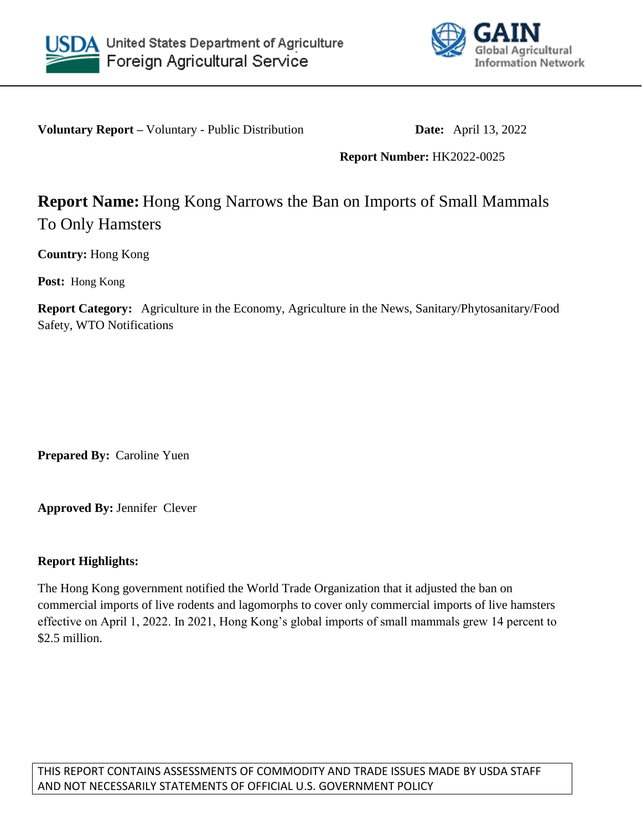



**Voluntary Report** – Voluntary - Public Distribution **Date:** April 13, 2022

## **Report Number:** HK2022-0025

## **Report Name:** Hong Kong Narrows the Ban on Imports of Small Mammals To Only Hamsters

**Country:** Hong Kong

**Post:** Hong Kong

**Report Category:** Agriculture in the Economy, Agriculture in the News, Sanitary/Phytosanitary/Food Safety, WTO Notifications

**Prepared By:** Caroline Yuen

**Approved By:** Jennifer Clever

## **Report Highlights:**

The Hong Kong government notified the World Trade Organization that it adjusted the ban on commercial imports of live rodents and lagomorphs to cover only commercial imports of live hamsters effective on April 1, 2022. In 2021, Hong Kong's global imports of small mammals grew 14 percent to \$2.5 million.

THIS REPORT CONTAINS ASSESSMENTS OF COMMODITY AND TRADE ISSUES MADE BY USDA STAFF AND NOT NECESSARILY STATEMENTS OF OFFICIAL U.S. GOVERNMENT POLICY